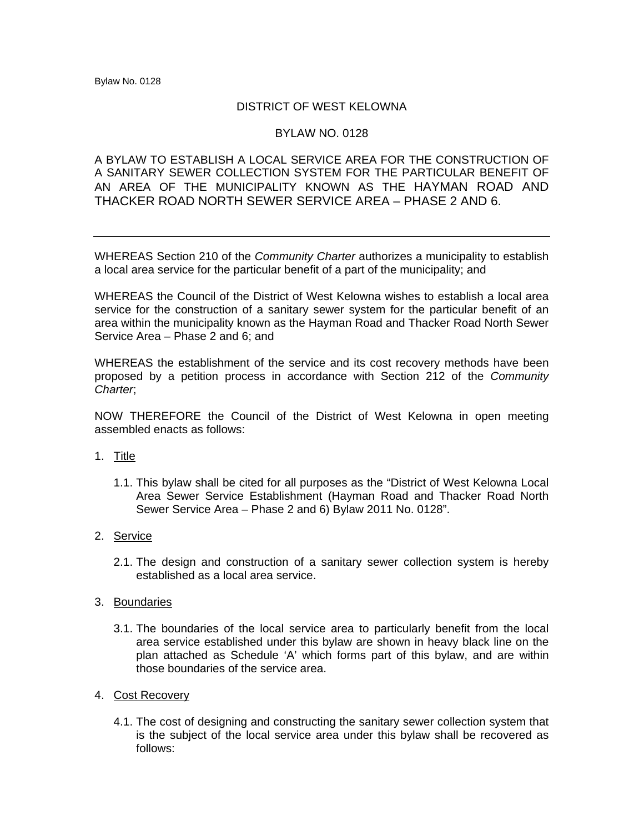## DISTRICT OF WEST KELOWNA

## BYLAW NO. 0128

## A BYLAW TO ESTABLISH A LOCAL SERVICE AREA FOR THE CONSTRUCTION OF A SANITARY SEWER COLLECTION SYSTEM FOR THE PARTICULAR BENEFIT OF AN AREA OF THE MUNICIPALITY KNOWN AS THE HAYMAN ROAD AND THACKER ROAD NORTH SEWER SERVICE AREA – PHASE 2 AND 6.

WHEREAS Section 210 of the *Community Charter* authorizes a municipality to establish a local area service for the particular benefit of a part of the municipality; and

WHEREAS the Council of the District of West Kelowna wishes to establish a local area service for the construction of a sanitary sewer system for the particular benefit of an area within the municipality known as the Hayman Road and Thacker Road North Sewer Service Area – Phase 2 and 6; and

WHEREAS the establishment of the service and its cost recovery methods have been proposed by a petition process in accordance with Section 212 of the *Community Charter*;

NOW THEREFORE the Council of the District of West Kelowna in open meeting assembled enacts as follows:

- 1. Title
	- 1.1. This bylaw shall be cited for all purposes as the "District of West Kelowna Local Area Sewer Service Establishment (Hayman Road and Thacker Road North Sewer Service Area – Phase 2 and 6) Bylaw 2011 No. 0128".
- 2. Service
	- 2.1. The design and construction of a sanitary sewer collection system is hereby established as a local area service.
- 3. Boundaries
	- 3.1. The boundaries of the local service area to particularly benefit from the local area service established under this bylaw are shown in heavy black line on the plan attached as Schedule 'A' which forms part of this bylaw, and are within those boundaries of the service area.
- 4. Cost Recovery
	- 4.1. The cost of designing and constructing the sanitary sewer collection system that is the subject of the local service area under this bylaw shall be recovered as follows: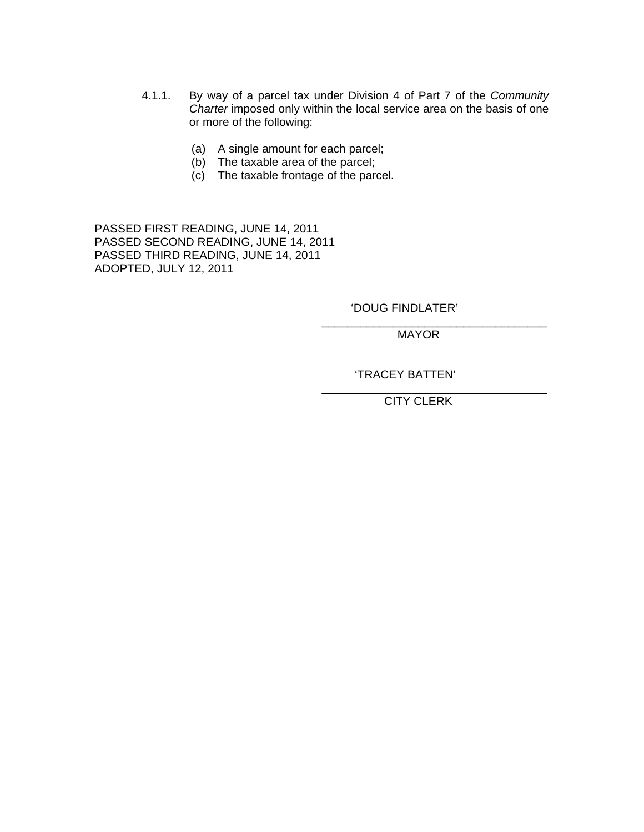- 4.1.1. By way of a parcel tax under Division 4 of Part 7 of the *Community Charter* imposed only within the local service area on the basis of one or more of the following:
	- (a) A single amount for each parcel;
	- (b) The taxable area of the parcel;
	- (c) The taxable frontage of the parcel.

 $\overline{\phantom{a}}$  , which is a set of the contract of the contract of the contract of the contract of the contract of the contract of the contract of the contract of the contract of the contract of the contract of the contract

 $\overline{\phantom{a}}$  , which is a set of the contract of the contract of the contract of the contract of the contract of the contract of the contract of the contract of the contract of the contract of the contract of the contract

PASSED FIRST READING, JUNE 14, 2011 PASSED SECOND READING, JUNE 14, 2011 PASSED THIRD READING, JUNE 14, 2011 ADOPTED, JULY 12, 2011

'DOUG FINDLATER'

MAYOR

'TRACEY BATTEN'

CITY CLERK